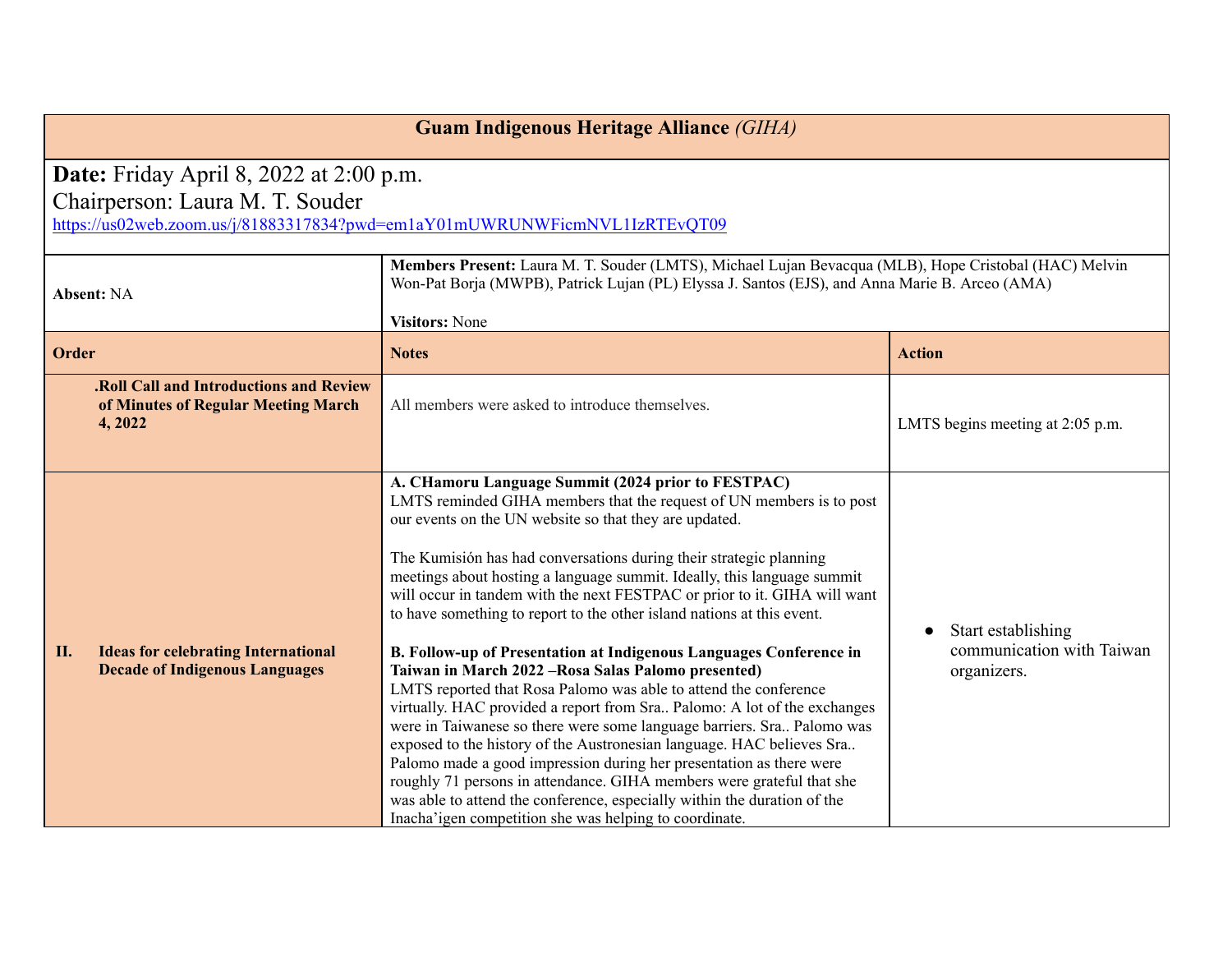| <b>Guam Indigenous Heritage Alliance (GIHA)</b>                                                 |                                                                                                                                                                                                                                                                                                                                                                                                                                                                                                                                                                                                                                                                                                                                                                                                                                                                                                                                                                                                                                                                                                                                                                                                                    |                                                                |
|-------------------------------------------------------------------------------------------------|--------------------------------------------------------------------------------------------------------------------------------------------------------------------------------------------------------------------------------------------------------------------------------------------------------------------------------------------------------------------------------------------------------------------------------------------------------------------------------------------------------------------------------------------------------------------------------------------------------------------------------------------------------------------------------------------------------------------------------------------------------------------------------------------------------------------------------------------------------------------------------------------------------------------------------------------------------------------------------------------------------------------------------------------------------------------------------------------------------------------------------------------------------------------------------------------------------------------|----------------------------------------------------------------|
| <b>Date:</b> Friday April 8, 2022 at 2:00 p.m.                                                  |                                                                                                                                                                                                                                                                                                                                                                                                                                                                                                                                                                                                                                                                                                                                                                                                                                                                                                                                                                                                                                                                                                                                                                                                                    |                                                                |
| Chairperson: Laura M. T. Souder                                                                 |                                                                                                                                                                                                                                                                                                                                                                                                                                                                                                                                                                                                                                                                                                                                                                                                                                                                                                                                                                                                                                                                                                                                                                                                                    |                                                                |
|                                                                                                 | https://us02web.zoom.us/j/81883317834?pwd=em1aY01mUWRUNWFicmNVL1IzRTEvQT09                                                                                                                                                                                                                                                                                                                                                                                                                                                                                                                                                                                                                                                                                                                                                                                                                                                                                                                                                                                                                                                                                                                                         |                                                                |
| <b>Absent: NA</b>                                                                               | Members Present: Laura M. T. Souder (LMTS), Michael Lujan Bevacqua (MLB), Hope Cristobal (HAC) Melvin<br>Won-Pat Borja (MWPB), Patrick Lujan (PL) Elyssa J. Santos (EJS), and Anna Marie B. Arceo (AMA)<br><b>Visitors: None</b>                                                                                                                                                                                                                                                                                                                                                                                                                                                                                                                                                                                                                                                                                                                                                                                                                                                                                                                                                                                   |                                                                |
| Order                                                                                           | <b>Notes</b>                                                                                                                                                                                                                                                                                                                                                                                                                                                                                                                                                                                                                                                                                                                                                                                                                                                                                                                                                                                                                                                                                                                                                                                                       | <b>Action</b>                                                  |
| <b>.Roll Call and Introductions and Review</b><br>of Minutes of Regular Meeting March<br>4,2022 | All members were asked to introduce themselves.                                                                                                                                                                                                                                                                                                                                                                                                                                                                                                                                                                                                                                                                                                                                                                                                                                                                                                                                                                                                                                                                                                                                                                    | LMTS begins meeting at 2:05 p.m.                               |
| П.<br><b>Ideas for celebrating International</b><br><b>Decade of Indigenous Languages</b>       | A. CHamoru Language Summit (2024 prior to FESTPAC)<br>LMTS reminded GIHA members that the request of UN members is to post<br>our events on the UN website so that they are updated.<br>The Kumisión has had conversations during their strategic planning<br>meetings about hosting a language summit. Ideally, this language summit<br>will occur in tandem with the next FESTPAC or prior to it. GIHA will want<br>to have something to report to the other island nations at this event.<br>B. Follow-up of Presentation at Indigenous Languages Conference in<br>Taiwan in March 2022 - Rosa Salas Palomo presented)<br>LMTS reported that Rosa Palomo was able to attend the conference<br>virtually. HAC provided a report from Sra Palomo: A lot of the exchanges<br>were in Taiwanese so there were some language barriers. Sra Palomo was<br>exposed to the history of the Austronesian language. HAC believes Sra<br>Palomo made a good impression during her presentation as there were<br>roughly 71 persons in attendance. GIHA members were grateful that she<br>was able to attend the conference, especially within the duration of the<br>Inacha'igen competition she was helping to coordinate. | Start establishing<br>communication with Taiwan<br>organizers. |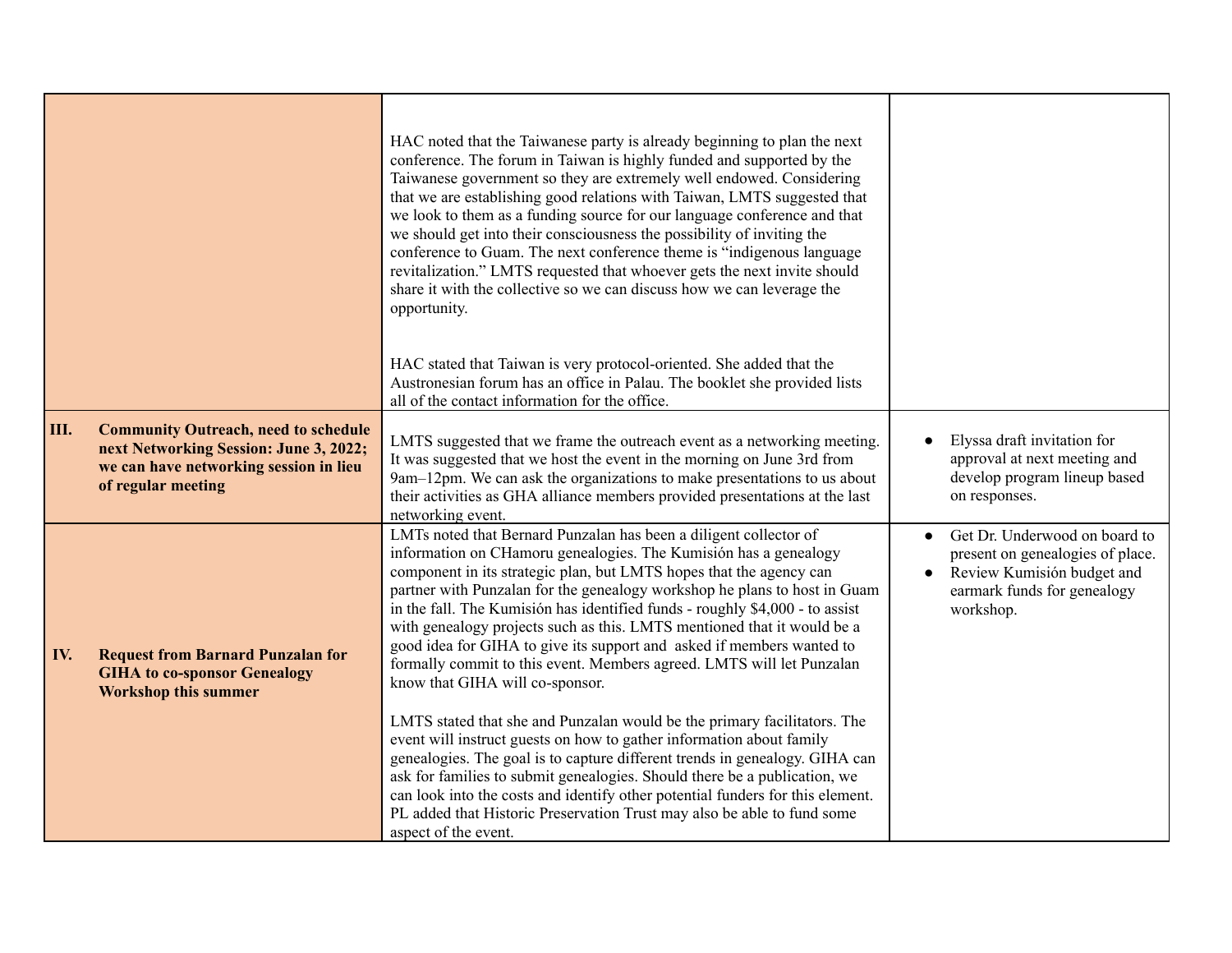|      |                                                                                                                                                       | HAC noted that the Taiwanese party is already beginning to plan the next<br>conference. The forum in Taiwan is highly funded and supported by the<br>Taiwanese government so they are extremely well endowed. Considering<br>that we are establishing good relations with Taiwan, LMTS suggested that<br>we look to them as a funding source for our language conference and that<br>we should get into their consciousness the possibility of inviting the<br>conference to Guam. The next conference theme is "indigenous language"<br>revitalization." LMTS requested that whoever gets the next invite should<br>share it with the collective so we can discuss how we can leverage the<br>opportunity. |                                                                                                                                             |
|------|-------------------------------------------------------------------------------------------------------------------------------------------------------|-------------------------------------------------------------------------------------------------------------------------------------------------------------------------------------------------------------------------------------------------------------------------------------------------------------------------------------------------------------------------------------------------------------------------------------------------------------------------------------------------------------------------------------------------------------------------------------------------------------------------------------------------------------------------------------------------------------|---------------------------------------------------------------------------------------------------------------------------------------------|
|      |                                                                                                                                                       | HAC stated that Taiwan is very protocol-oriented. She added that the<br>Austronesian forum has an office in Palau. The booklet she provided lists<br>all of the contact information for the office.                                                                                                                                                                                                                                                                                                                                                                                                                                                                                                         |                                                                                                                                             |
| III. | <b>Community Outreach, need to schedule</b><br>next Networking Session: June 3, 2022;<br>we can have networking session in lieu<br>of regular meeting | LMTS suggested that we frame the outreach event as a networking meeting.<br>It was suggested that we host the event in the morning on June 3rd from<br>9am-12pm. We can ask the organizations to make presentations to us about<br>their activities as GHA alliance members provided presentations at the last<br>networking event.                                                                                                                                                                                                                                                                                                                                                                         | Elyssa draft invitation for<br>approval at next meeting and<br>develop program lineup based<br>on responses.                                |
| IV.  | <b>Request from Barnard Punzalan for</b><br><b>GIHA</b> to co-sponsor Genealogy<br><b>Workshop this summer</b>                                        | LMTs noted that Bernard Punzalan has been a diligent collector of<br>information on CHamoru genealogies. The Kumisión has a genealogy<br>component in its strategic plan, but LMTS hopes that the agency can<br>partner with Punzalan for the genealogy workshop he plans to host in Guam<br>in the fall. The Kumisión has identified funds - roughly \$4,000 - to assist<br>with genealogy projects such as this. LMTS mentioned that it would be a<br>good idea for GIHA to give its support and asked if members wanted to<br>formally commit to this event. Members agreed. LMTS will let Punzalan<br>know that GIHA will co-sponsor.                                                                   | Get Dr. Underwood on board to<br>present on genealogies of place.<br>Review Kumisión budget and<br>earmark funds for genealogy<br>workshop. |
|      |                                                                                                                                                       | LMTS stated that she and Punzalan would be the primary facilitators. The<br>event will instruct guests on how to gather information about family<br>genealogies. The goal is to capture different trends in genealogy. GIHA can<br>ask for families to submit genealogies. Should there be a publication, we<br>can look into the costs and identify other potential funders for this element.<br>PL added that Historic Preservation Trust may also be able to fund some<br>aspect of the event.                                                                                                                                                                                                           |                                                                                                                                             |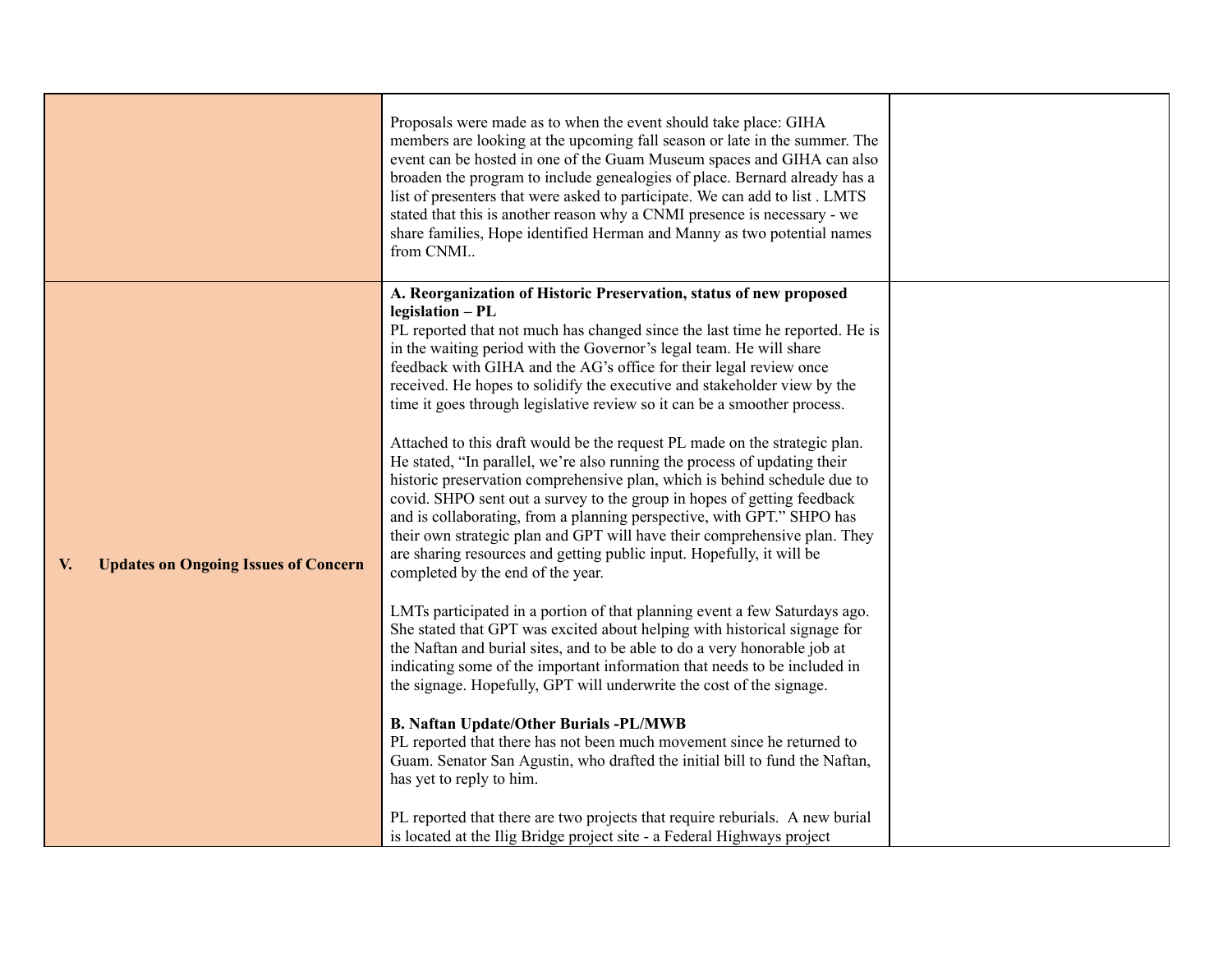|                                                   | Proposals were made as to when the event should take place: GIHA<br>members are looking at the upcoming fall season or late in the summer. The<br>event can be hosted in one of the Guam Museum spaces and GIHA can also<br>broaden the program to include genealogies of place. Bernard already has a<br>list of presenters that were asked to participate. We can add to list . LMTS<br>stated that this is another reason why a CNMI presence is necessary - we<br>share families, Hope identified Herman and Manny as two potential names<br>from CNMI                                                                                                                                                                                                                                                                                                                                                                                                                                                                                                                                                                                                                                                                                                                                                                                                                                                                                                                                                                                                                                                                                                                                                                                                                                                                                                        |  |
|---------------------------------------------------|-------------------------------------------------------------------------------------------------------------------------------------------------------------------------------------------------------------------------------------------------------------------------------------------------------------------------------------------------------------------------------------------------------------------------------------------------------------------------------------------------------------------------------------------------------------------------------------------------------------------------------------------------------------------------------------------------------------------------------------------------------------------------------------------------------------------------------------------------------------------------------------------------------------------------------------------------------------------------------------------------------------------------------------------------------------------------------------------------------------------------------------------------------------------------------------------------------------------------------------------------------------------------------------------------------------------------------------------------------------------------------------------------------------------------------------------------------------------------------------------------------------------------------------------------------------------------------------------------------------------------------------------------------------------------------------------------------------------------------------------------------------------------------------------------------------------------------------------------------------------|--|
| <b>Updates on Ongoing Issues of Concern</b><br>V. | A. Reorganization of Historic Preservation, status of new proposed<br>legislation - PL<br>PL reported that not much has changed since the last time he reported. He is<br>in the waiting period with the Governor's legal team. He will share<br>feedback with GIHA and the AG's office for their legal review once<br>received. He hopes to solidify the executive and stakeholder view by the<br>time it goes through legislative review so it can be a smoother process.<br>Attached to this draft would be the request PL made on the strategic plan.<br>He stated, "In parallel, we're also running the process of updating their<br>historic preservation comprehensive plan, which is behind schedule due to<br>covid. SHPO sent out a survey to the group in hopes of getting feedback<br>and is collaborating, from a planning perspective, with GPT." SHPO has<br>their own strategic plan and GPT will have their comprehensive plan. They<br>are sharing resources and getting public input. Hopefully, it will be<br>completed by the end of the year.<br>LMTs participated in a portion of that planning event a few Saturdays ago.<br>She stated that GPT was excited about helping with historical signage for<br>the Naftan and burial sites, and to be able to do a very honorable job at<br>indicating some of the important information that needs to be included in<br>the signage. Hopefully, GPT will underwrite the cost of the signage.<br><b>B. Naftan Update/Other Burials -PL/MWB</b><br>PL reported that there has not been much movement since he returned to<br>Guam. Senator San Agustin, who drafted the initial bill to fund the Naftan,<br>has yet to reply to him.<br>PL reported that there are two projects that require reburials. A new burial<br>is located at the Ilig Bridge project site - a Federal Highways project |  |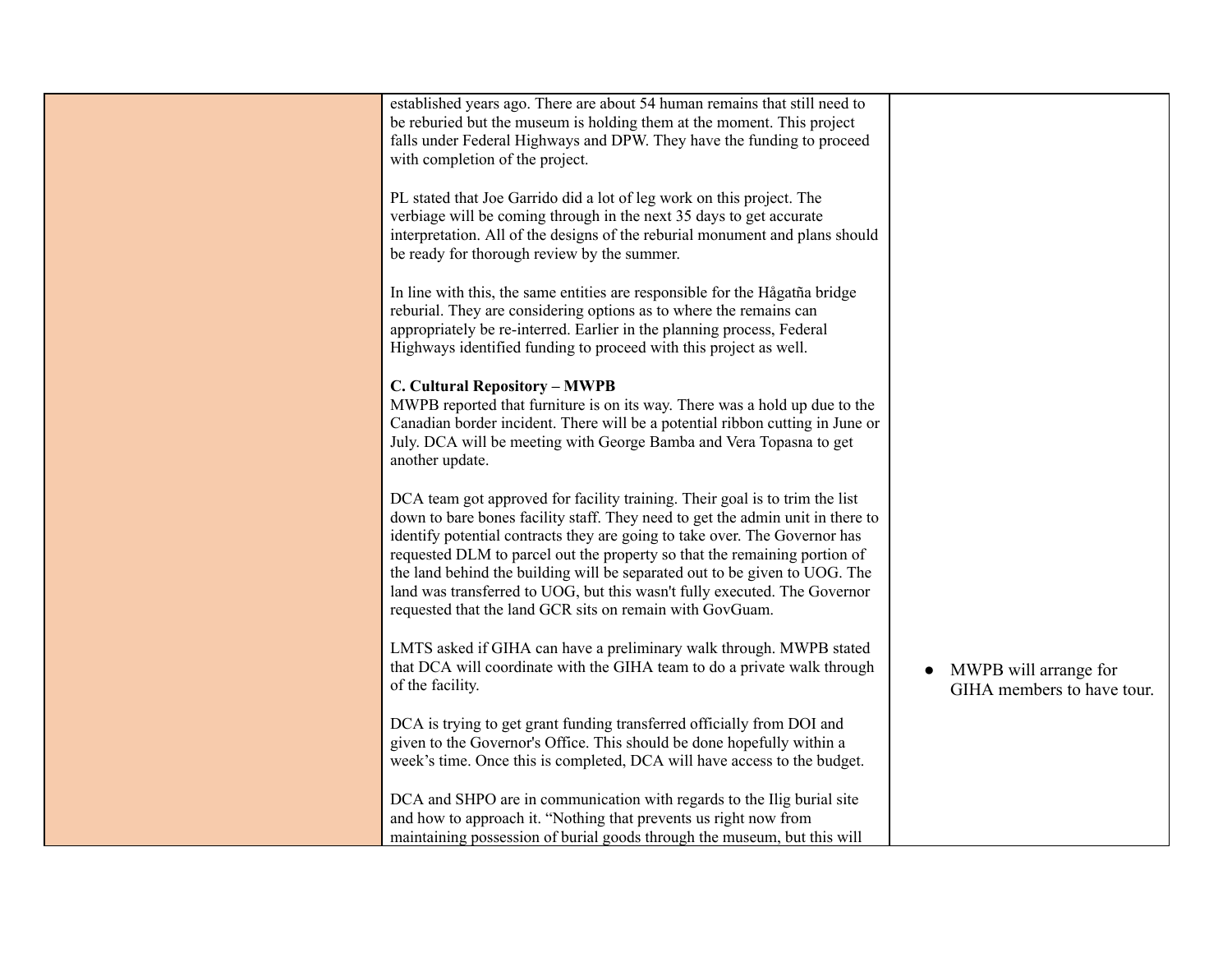| established years ago. There are about 54 human remains that still need to<br>be reburied but the museum is holding them at the moment. This project<br>falls under Federal Highways and DPW. They have the funding to proceed<br>with completion of the project.                                                                                                                                                                                                                                                                               |                                                     |
|-------------------------------------------------------------------------------------------------------------------------------------------------------------------------------------------------------------------------------------------------------------------------------------------------------------------------------------------------------------------------------------------------------------------------------------------------------------------------------------------------------------------------------------------------|-----------------------------------------------------|
| PL stated that Joe Garrido did a lot of leg work on this project. The<br>verbiage will be coming through in the next 35 days to get accurate<br>interpretation. All of the designs of the reburial monument and plans should<br>be ready for thorough review by the summer.                                                                                                                                                                                                                                                                     |                                                     |
| In line with this, the same entities are responsible for the Hågatña bridge<br>reburial. They are considering options as to where the remains can<br>appropriately be re-interred. Earlier in the planning process, Federal<br>Highways identified funding to proceed with this project as well.                                                                                                                                                                                                                                                |                                                     |
| <b>C. Cultural Repository - MWPB</b><br>MWPB reported that furniture is on its way. There was a hold up due to the<br>Canadian border incident. There will be a potential ribbon cutting in June or<br>July. DCA will be meeting with George Bamba and Vera Topasna to get<br>another update.                                                                                                                                                                                                                                                   |                                                     |
| DCA team got approved for facility training. Their goal is to trim the list<br>down to bare bones facility staff. They need to get the admin unit in there to<br>identify potential contracts they are going to take over. The Governor has<br>requested DLM to parcel out the property so that the remaining portion of<br>the land behind the building will be separated out to be given to UOG. The<br>land was transferred to UOG, but this wasn't fully executed. The Governor<br>requested that the land GCR sits on remain with GovGuam. |                                                     |
| LMTS asked if GIHA can have a preliminary walk through. MWPB stated<br>that DCA will coordinate with the GIHA team to do a private walk through<br>of the facility.                                                                                                                                                                                                                                                                                                                                                                             | MWPB will arrange for<br>GIHA members to have tour. |
| DCA is trying to get grant funding transferred officially from DOI and<br>given to the Governor's Office. This should be done hopefully within a<br>week's time. Once this is completed, DCA will have access to the budget.                                                                                                                                                                                                                                                                                                                    |                                                     |
| DCA and SHPO are in communication with regards to the Ilig burial site<br>and how to approach it. "Nothing that prevents us right now from<br>maintaining possession of burial goods through the museum, but this will                                                                                                                                                                                                                                                                                                                          |                                                     |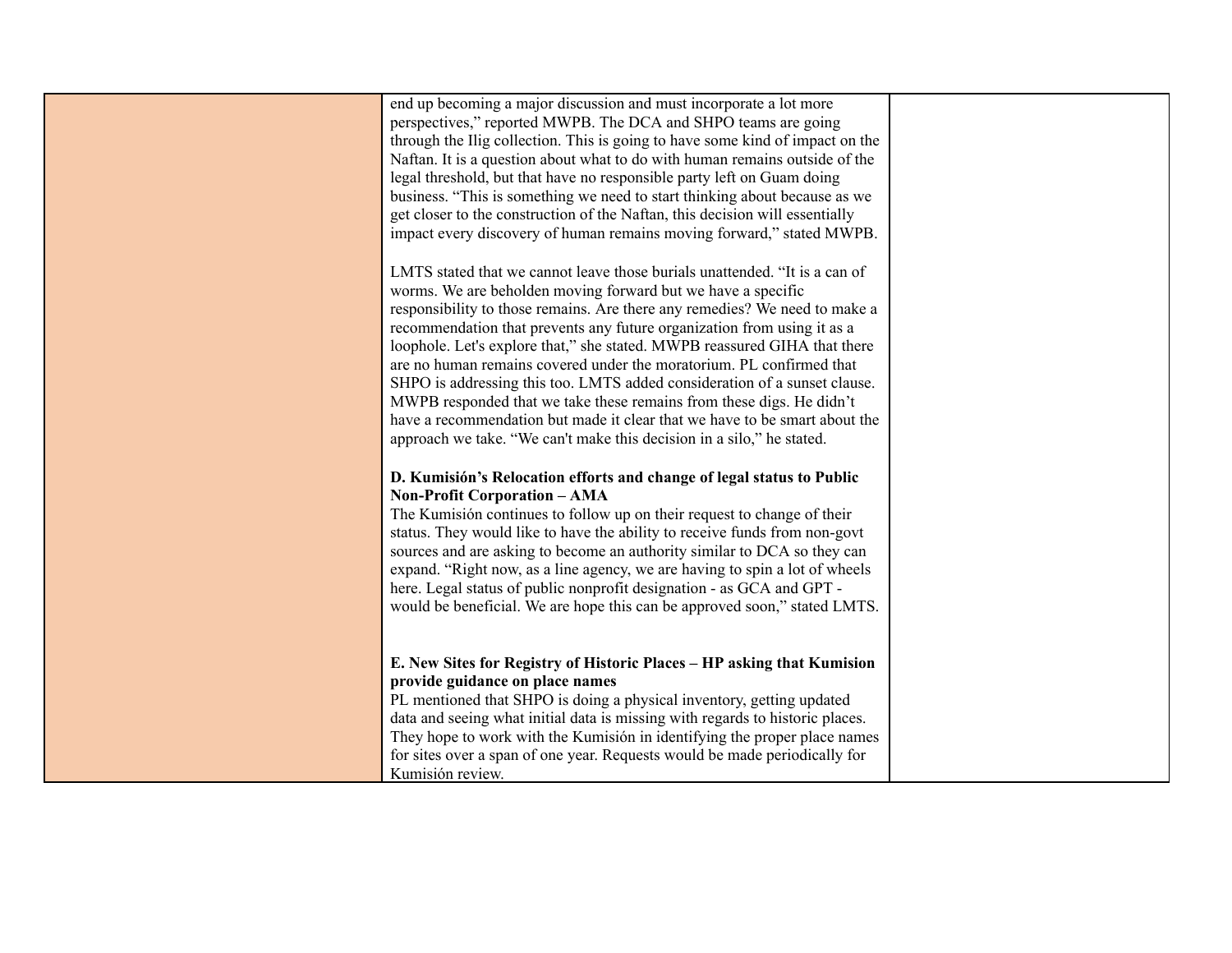| end up becoming a major discussion and must incorporate a lot more<br>perspectives," reported MWPB. The DCA and SHPO teams are going                   |  |
|--------------------------------------------------------------------------------------------------------------------------------------------------------|--|
| through the Ilig collection. This is going to have some kind of impact on the                                                                          |  |
| Naftan. It is a question about what to do with human remains outside of the<br>legal threshold, but that have no responsible party left on Guam doing  |  |
| business. "This is something we need to start thinking about because as we                                                                             |  |
| get closer to the construction of the Naftan, this decision will essentially                                                                           |  |
| impact every discovery of human remains moving forward," stated MWPB.                                                                                  |  |
|                                                                                                                                                        |  |
| LMTS stated that we cannot leave those burials unattended. "It is a can of                                                                             |  |
| worms. We are beholden moving forward but we have a specific                                                                                           |  |
| responsibility to those remains. Are there any remedies? We need to make a                                                                             |  |
| recommendation that prevents any future organization from using it as a                                                                                |  |
| loophole. Let's explore that," she stated. MWPB reassured GIHA that there<br>are no human remains covered under the moratorium. PL confirmed that      |  |
| SHPO is addressing this too. LMTS added consideration of a sunset clause.                                                                              |  |
| MWPB responded that we take these remains from these digs. He didn't                                                                                   |  |
| have a recommendation but made it clear that we have to be smart about the                                                                             |  |
| approach we take. "We can't make this decision in a silo," he stated.                                                                                  |  |
|                                                                                                                                                        |  |
| D. Kumisión's Relocation efforts and change of legal status to Public                                                                                  |  |
| <b>Non-Profit Corporation - AMA</b>                                                                                                                    |  |
| The Kumisión continues to follow up on their request to change of their                                                                                |  |
| status. They would like to have the ability to receive funds from non-govt<br>sources and are asking to become an authority similar to DCA so they can |  |
| expand. "Right now, as a line agency, we are having to spin a lot of wheels                                                                            |  |
| here. Legal status of public nonprofit designation - as GCA and GPT -                                                                                  |  |
| would be beneficial. We are hope this can be approved soon," stated LMTS.                                                                              |  |
|                                                                                                                                                        |  |
|                                                                                                                                                        |  |
| E. New Sites for Registry of Historic Places - HP asking that Kumision                                                                                 |  |
| provide guidance on place names                                                                                                                        |  |
| PL mentioned that SHPO is doing a physical inventory, getting updated<br>data and seeing what initial data is missing with regards to historic places. |  |
| They hope to work with the Kumisión in identifying the proper place names                                                                              |  |
| for sites over a span of one year. Requests would be made periodically for                                                                             |  |
| Kumisión review.                                                                                                                                       |  |
|                                                                                                                                                        |  |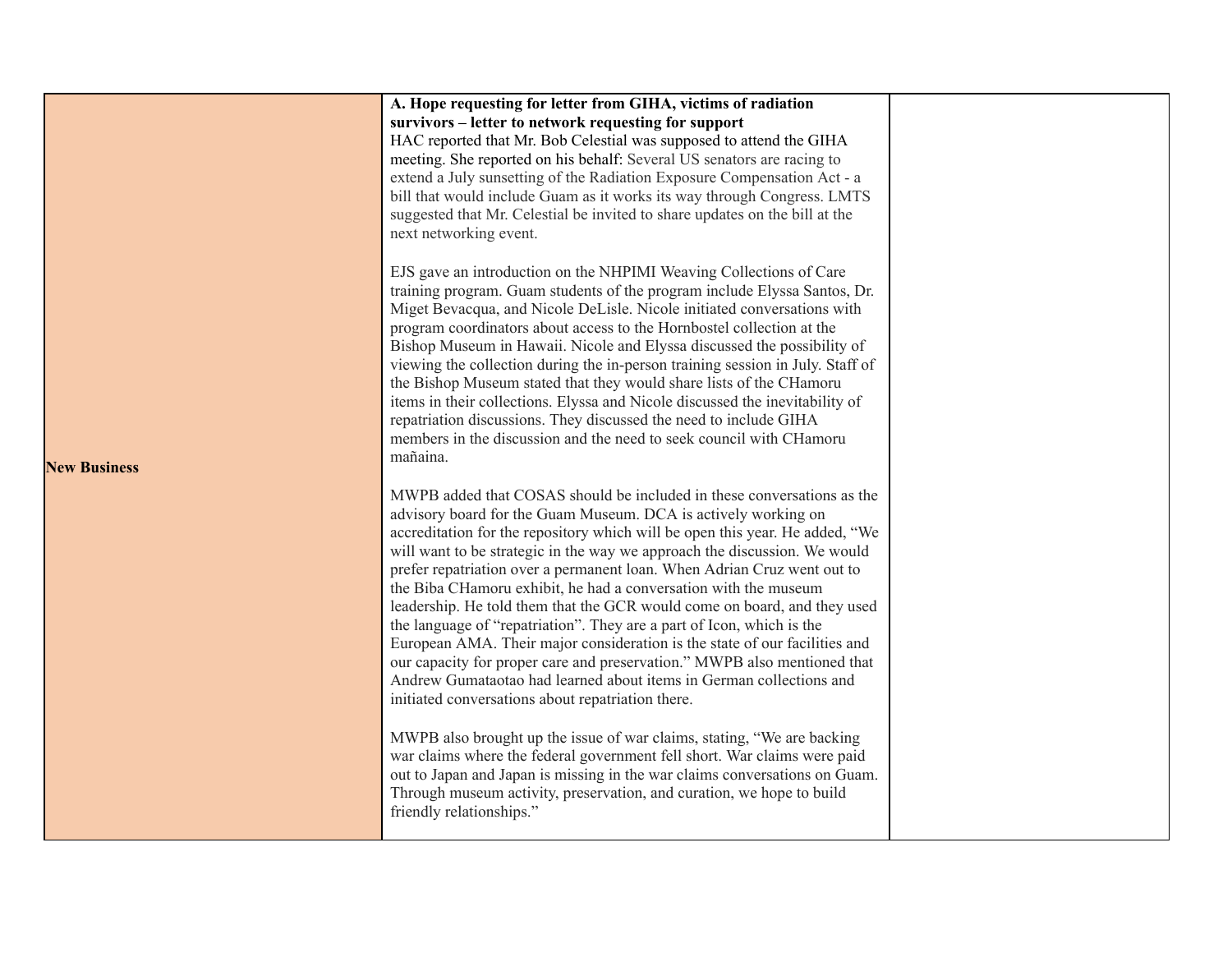|                     | A. Hope requesting for letter from GIHA, victims of radiation<br>survivors – letter to network requesting for support<br>HAC reported that Mr. Bob Celestial was supposed to attend the GIHA<br>meeting. She reported on his behalf: Several US senators are racing to<br>extend a July sunsetting of the Radiation Exposure Compensation Act - a<br>bill that would include Guam as it works its way through Congress. LMTS<br>suggested that Mr. Celestial be invited to share updates on the bill at the<br>next networking event.                                                                                                                                                                                                                                                                                                                                                          |  |
|---------------------|------------------------------------------------------------------------------------------------------------------------------------------------------------------------------------------------------------------------------------------------------------------------------------------------------------------------------------------------------------------------------------------------------------------------------------------------------------------------------------------------------------------------------------------------------------------------------------------------------------------------------------------------------------------------------------------------------------------------------------------------------------------------------------------------------------------------------------------------------------------------------------------------|--|
| <b>New Business</b> | EJS gave an introduction on the NHPIMI Weaving Collections of Care<br>training program. Guam students of the program include Elyssa Santos, Dr.<br>Miget Bevacqua, and Nicole DeLisle. Nicole initiated conversations with<br>program coordinators about access to the Hornbostel collection at the<br>Bishop Museum in Hawaii. Nicole and Elyssa discussed the possibility of<br>viewing the collection during the in-person training session in July. Staff of<br>the Bishop Museum stated that they would share lists of the CHamoru<br>items in their collections. Elyssa and Nicole discussed the inevitability of<br>repatriation discussions. They discussed the need to include GIHA<br>members in the discussion and the need to seek council with CHamoru<br>mañaina.                                                                                                                |  |
|                     | MWPB added that COSAS should be included in these conversations as the<br>advisory board for the Guam Museum. DCA is actively working on<br>accreditation for the repository which will be open this year. He added, "We<br>will want to be strategic in the way we approach the discussion. We would<br>prefer repatriation over a permanent loan. When Adrian Cruz went out to<br>the Biba CHamoru exhibit, he had a conversation with the museum<br>leadership. He told them that the GCR would come on board, and they used<br>the language of "repatriation". They are a part of Icon, which is the<br>European AMA. Their major consideration is the state of our facilities and<br>our capacity for proper care and preservation." MWPB also mentioned that<br>Andrew Gumataotao had learned about items in German collections and<br>initiated conversations about repatriation there. |  |
|                     | MWPB also brought up the issue of war claims, stating, "We are backing<br>war claims where the federal government fell short. War claims were paid<br>out to Japan and Japan is missing in the war claims conversations on Guam.<br>Through museum activity, preservation, and curation, we hope to build<br>friendly relationships."                                                                                                                                                                                                                                                                                                                                                                                                                                                                                                                                                          |  |